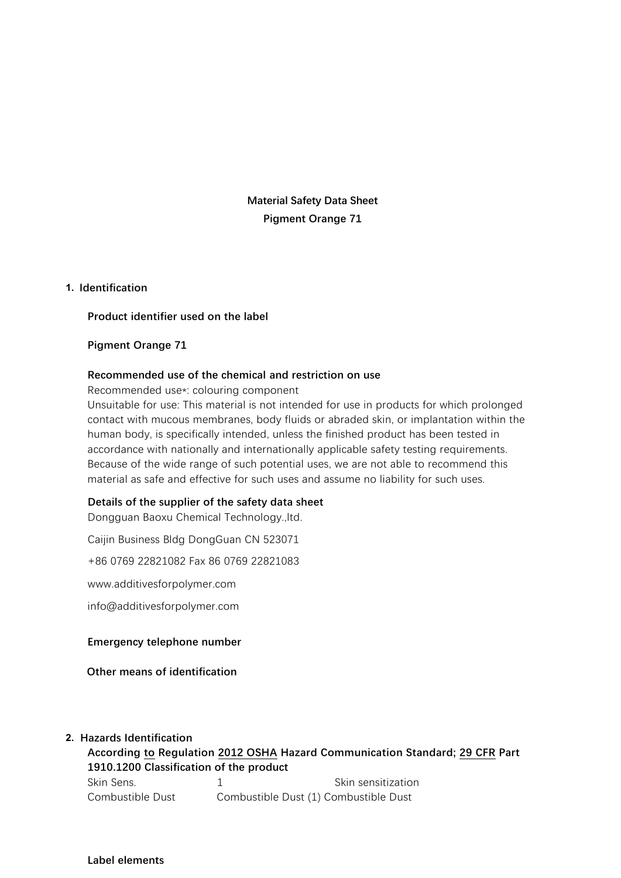**Material Safety Data Sheet Pigment Orange 71**

#### **1. Identification**

#### **Product identifier used on the label**

#### **Pigment Orange 71**

#### **Recommended use of the chemical and restriction on use**

Recommended use\*: colouring component

Unsuitable for use: This material is not intended for use in products for which prolonged contact with mucous membranes, body fluids or abraded skin, or implantation within the human body, is specifically intended, unless the finished product has been tested in accordance with nationally and internationally applicable safety testing requirements. Because of the wide range of such potential uses, we are not able to recommend this material as safe and effective for such uses and assume no liability for such uses.

#### **Details of the supplier of the safety data sheet**

Dongguan Baoxu Chemical Technology.,ltd.

Caijin Business Bldg DongGuan CN 523071

+86 0769 22821082 Fax 86 0769 22821083

www.additivesforpolymer.com

info@additivesforpolymer.com

#### **Emergency telephone number**

**Other means of identification**

#### **2. Hazards Identification**

**According to Regulation 2012 OSHA Hazard Communication Standard; 29 CFR Part 1910.1200 Classification of the product** Skin Sens. 1 1 Skin sensitization Combustible Dust Combustible Dust (1) Combustible Dust

**Label elements**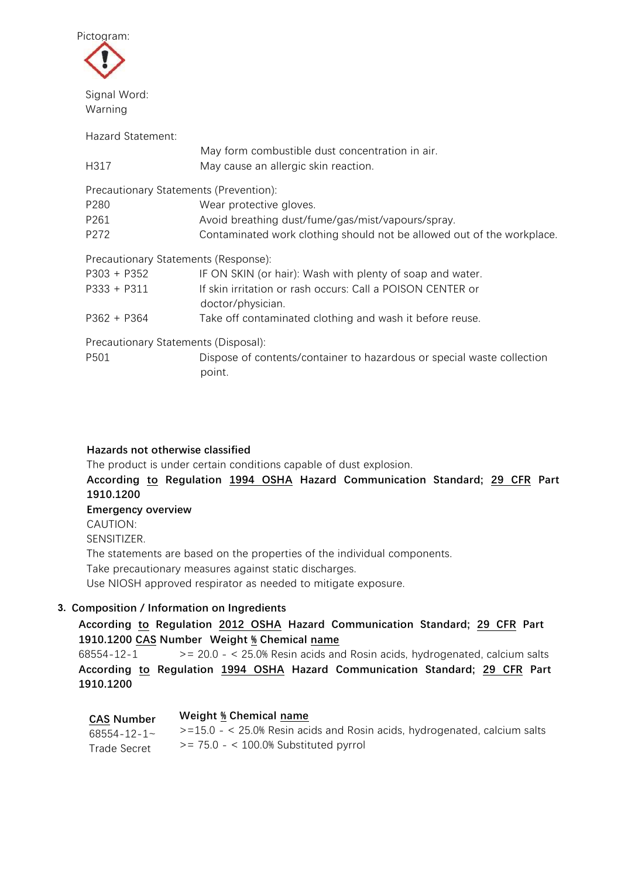

Hazard Statement:

|                                        | May form combustible dust concentration in air.                                  |
|----------------------------------------|----------------------------------------------------------------------------------|
| H317                                   | May cause an allergic skin reaction.                                             |
| Precautionary Statements (Prevention): |                                                                                  |
| P280                                   | Wear protective gloves.                                                          |
| P261                                   | Avoid breathing dust/fume/gas/mist/vapours/spray.                                |
| P272                                   | Contaminated work clothing should not be allowed out of the workplace.           |
| Precautionary Statements (Response):   |                                                                                  |
| $P303 + P352$                          | IF ON SKIN (or hair): Wash with plenty of soap and water.                        |
| $P333 + P311$                          | If skin irritation or rash occurs: Call a POISON CENTER or<br>doctor/physician.  |
| $P362 + P364$                          | Take off contaminated clothing and wash it before reuse.                         |
| Precautionary Statements (Disposal):   |                                                                                  |
| P501                                   | Dispose of contents/container to hazardous or special waste collection<br>point. |

## **Hazards not otherwise classified**

The product is under certain conditions capable of dust explosion.

**According to Regulation 1994 OSHA Hazard Communication Standard; 29 CFR Part 1910.1200 Emergency overview** CAUTION: SENSITIZER. The statements are based on the properties of the individual components.

Take precautionary measures against static discharges.

Use NIOSH approved respirator as needed to mitigate exposure.

## **3. Composition / Information on Ingredients**

## **According to Regulation 2012 OSHA Hazard Communication Standard; 29 CFR Part 1910.1200 CAS Number Weight % Chemical name**

 $68554-12-1$   $>20.0 - 25.0$ % Resin acids and Rosin acids, hydrogenated, calcium salts **According to Regulation 1994 OSHA Hazard Communication Standard; 29 CFR Part 1910.1200**

| <b>CAS Number</b>   | Weight % Chemical name                                                       |
|---------------------|------------------------------------------------------------------------------|
| $68554 - 12 - 1$    | $> = 15.0 - 25.0\%$ Resin acids and Rosin acids, hydrogenated, calcium salts |
| <b>Trade Secret</b> | $\epsilon$ = 75.0 - $\epsilon$ 100.0% Substituted pyrrol                     |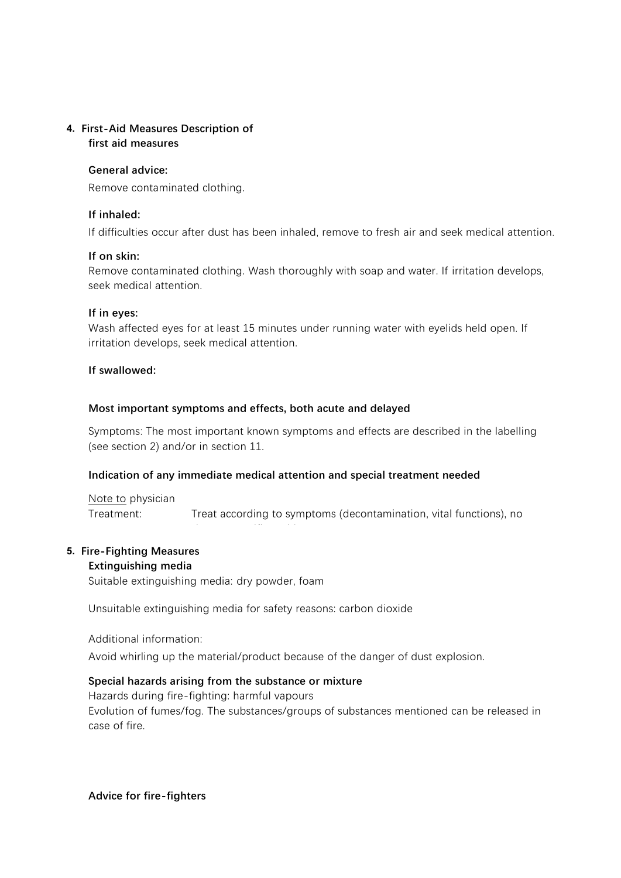### **4. First-Aid Measures Description of first aid measures**

## **General advice:**

Remove contaminated clothing.

## **If inhaled:**

If difficulties occur after dust has been inhaled, remove to fresh air and seek medical attention.

### **If on skin:**

Remove contaminated clothing. Wash thoroughly with soap and water. If irritation develops, seek medical attention.

### **If in eyes:**

Wash affected eyes for at least 15 minutes under running water with eyelids held open. If irritation develops, seek medical attention.

### **If swallowed:**

#### if necessary. **Most important symptoms and effects, both acute and delayed**

Symptoms: The most important known symptoms and effects are described in the labelling (see section 2) and/or in section 11.

#### **Indication of any immediate medical attention and special treatment needed**

Note to physician Treatment: Treat according to symptoms (decontamination, vital functions), no

## **5. Fire-Fighting Measures**

#### **Extinguishing media**

Suitable extinguishing media: dry powder, foam

Unsuitable extinguishing media for safety reasons: carbon dioxide

known specific antidote.

Additional information:

Avoid whirling up the material/product because of the danger of dust explosion.

## **Special hazards arising from the substance or mixture**

Hazards during fire-fighting: harmful vapours Evolution of fumes/fog. The substances/groups of substances mentioned can be released in case of fire.

**Advice for fire-fighters**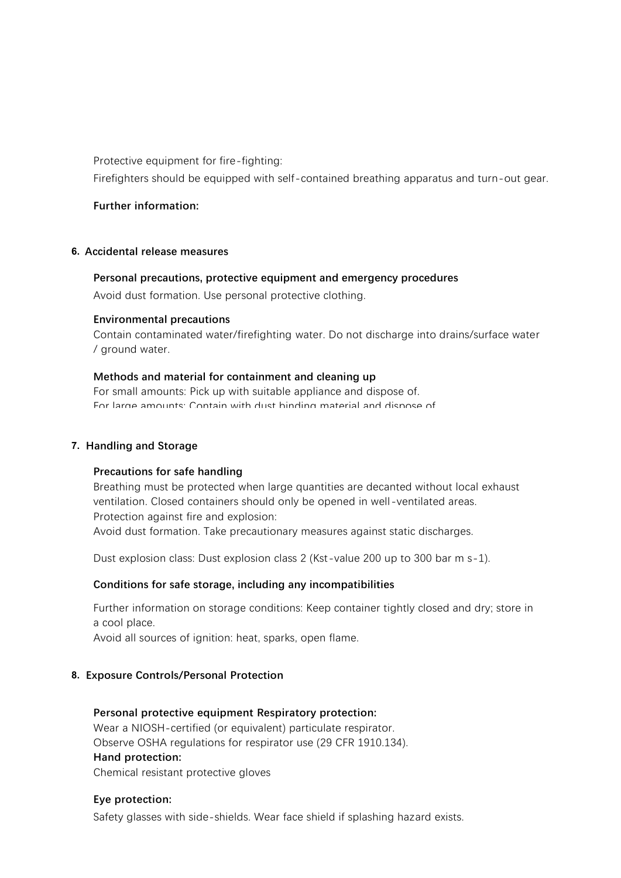Protective equipment for fire-fighting:

Firefighters should be equipped with self-contained breathing apparatus and turn-out gear.

#### **Further information:**

#### **6. Accidental release measures**

#### **Personal precautions, protective equipment and emergency procedures**

Avoid dust formation. Use personal protective clothing.

#### **Environmental precautions**

Contain contaminated water/firefighting water. Do not discharge into drains/surface water / ground water.

#### **Methods and material for containment and cleaning up**

For small amounts: Pick up with suitable appliance and dispose of. For large amounte: Contain with dust binding material and dispose of.

#### **7. Handling and Storage**

#### **Precautions for safe handling**

Breathing must be protected when large quantities are decanted without local exhaust ventilation. Closed containers should only be opened in well-ventilated areas. Protection against fire and explosion: Avoid dust formation. Take precautionary measures against static discharges.

Dust explosion class: Dust explosion class 2 (Kst-value 200 up to 300 bar m s-1).

## **Conditions for safe storage, including any incompatibilities**

Further information on storage conditions: Keep container tightly closed and dry; store in a cool place.

Avoid all sources of ignition: heat, sparks, open flame.

#### **8. Exposure Controls/Personal Protection**

# **Personal protective equipment Respiratory protection:** Wear a NIOSH-certified (or equivalent) particulate respirator. Observe OSHA regulations for respirator use (29 CFR 1910.134). **Hand protection:**

Chemical resistant protective gloves

## **Eye protection:**

Safety glasses with side-shields. Wear face shield if splashing hazard exists.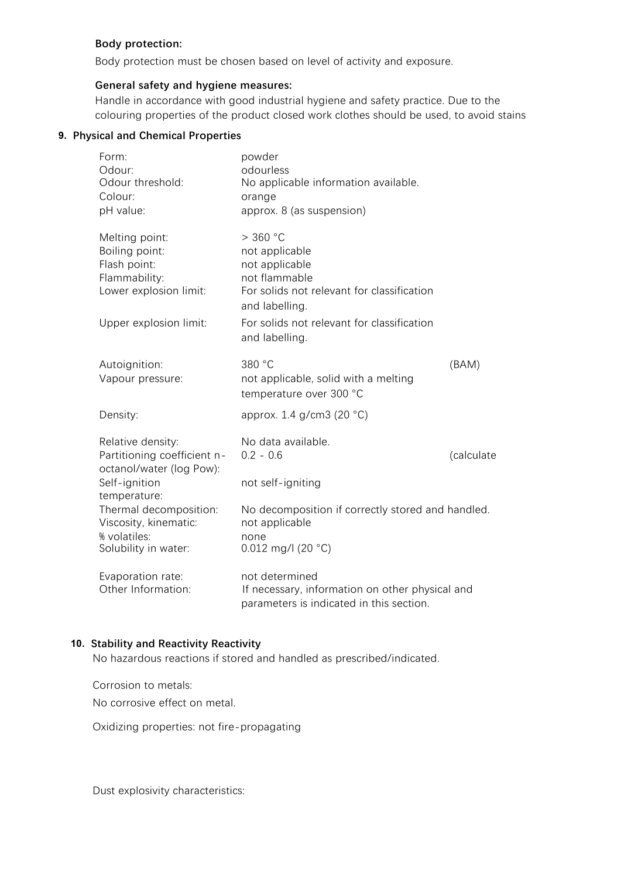### **Body protection:**

Body protection must be chosen based on level of activity and exposure.

### **General safety and hygiene measures:**

Handle in accordance with good industrial hygiene and safety practice. Due to the colouring properties of the product closed work clothes should be used, to avoid stains

#### **9. Physical and Chemical Properties**

| Form:<br>Odour:<br>Odour threshold:<br>Colour:<br>pH value:                                                           | powder<br>odourless<br>No applicable information available.<br>orange<br>approx. 8 (as suspension)                                                                                              |            |
|-----------------------------------------------------------------------------------------------------------------------|-------------------------------------------------------------------------------------------------------------------------------------------------------------------------------------------------|------------|
| Melting point:<br>Boiling point:<br>Flash point:<br>Flammability:<br>Lower explosion limit:<br>Upper explosion limit: | $>$ 360 °C<br>not applicable<br>not applicable<br>not flammable<br>For solids not relevant for classification<br>and labelling.<br>For solids not relevant for classification<br>and labelling. |            |
| Autoignition:<br>Vapour pressure:                                                                                     | 380 °C<br>not applicable, solid with a melting<br>temperature over 300 °C                                                                                                                       | (BAM)      |
| Density:                                                                                                              | approx. 1.4 g/cm3 (20 °C)                                                                                                                                                                       |            |
| Relative density:<br>Partitioning coefficient n-<br>octanol/water (log Pow):<br>Self-ignition<br>temperature:         | No data available.<br>$0.2 - 0.6$<br>not self-igniting                                                                                                                                          | (calculate |
| Thermal decomposition:<br>Viscosity, kinematic:<br>% volatiles:<br>Solubility in water:                               | No decomposition if correctly stored and handled.<br>not applicable<br>none<br>0.012 mg/l (20 $°C$ )                                                                                            |            |
| Evaporation rate:<br>Other Information:                                                                               | not determined<br>If necessary, information on other physical and<br>parameters is indicated in this section.                                                                                   |            |

## **10. Stability and Reactivity Reactivity**

No hazardous reactions if stored and handled as prescribed/indicated.

Corrosion to metals:

No corrosive effect on metal.

Oxidizing properties: not fire-propagating

Dust explosivity characteristics: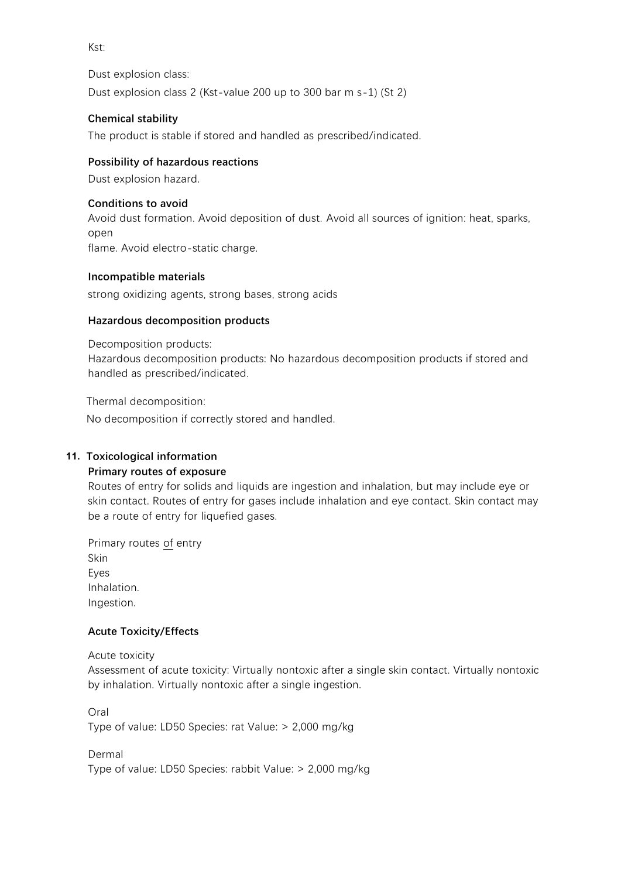Kst:

Dust explosion class: Dust explosion class 2 (Kst-value 200 up to 300 bar m s-1) (St 2)

## **Chemical stability**

The product is stable if stored and handled as prescribed/indicated.

## **Possibility of hazardous reactions**

Dust explosion hazard.

## **Conditions to avoid**

Avoid dust formation. Avoid deposition of dust. Avoid all sources of ignition: heat, sparks, open flame. Avoid electro-static charge.

### **Incompatible materials**

strong oxidizing agents, strong bases, strong acids

## **Hazardous decomposition products**

Decomposition products:

Hazardous decomposition products: No hazardous decomposition products if stored and handled as prescribed/indicated.

Thermal decomposition:

No decomposition if correctly stored and handled.

## **11. Toxicological information**

## **Primary routes of exposure**

Routes of entry for solids and liquids are ingestion and inhalation, but may include eye or skin contact. Routes of entry for gases include inhalation and eye contact. Skin contact may be a route of entry for liquefied gases.

Primary routes of entry Skin Eyes Inhalation. Ingestion.

## **Acute Toxicity/Effects**

Acute toxicity

Assessment of acute toxicity: Virtually nontoxic after a single skin contact. Virtually nontoxic by inhalation. Virtually nontoxic after a single ingestion.

Oral Type of value: LD50 Species: rat Value: > 2,000 mg/kg

Dermal Type of value: LD50 Species: rabbit Value: > 2,000 mg/kg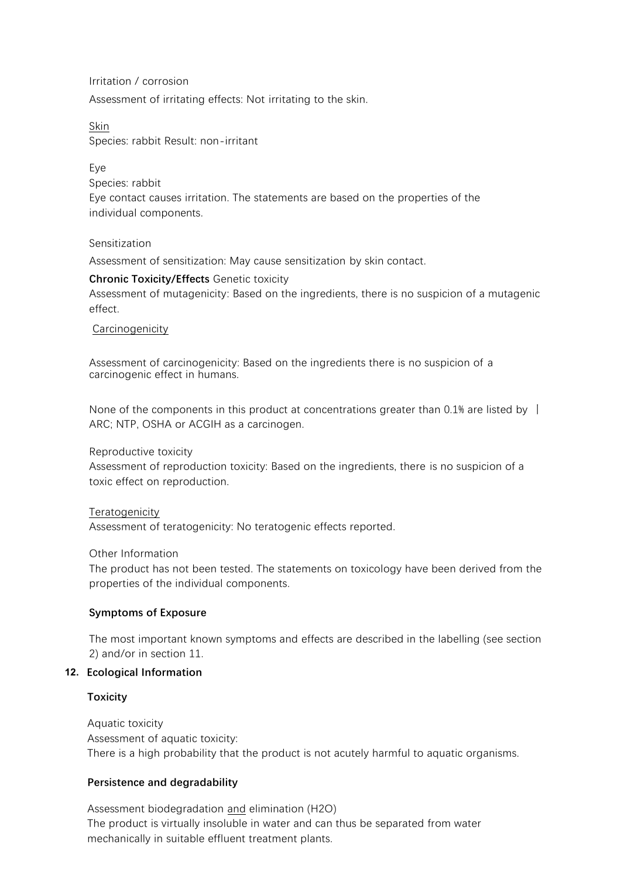Irritation / corrosion Assessment of irritating effects: Not irritating to the skin.

Skin Species: rabbit Result: non-irritant

Eye Species: rabbit Eye contact causes irritation. The statements are based on the properties of the individual components.

### Sensitization

Assessment of sensitization: May cause sensitization by skin contact.

### **Chronic Toxicity/Effects** Genetic toxicity

Assessment of mutagenicity: Based on the ingredients, there is no suspicion of a mutagenic effect.

#### Carcinogenicity

Assessment of carcinogenicity: Based on the ingredients there is no suspicion of a carcinogenic effect in humans.

None of the components in this product at concentrations greater than 0.1% are listed by  $\parallel$ ARC; NTP, OSHA or ACGIH as a carcinogen.

Reproductive toxicity

Assessment of reproduction toxicity: Based on the ingredients, there is no suspicion of a toxic effect on reproduction.

## **Teratogenicity**

Assessment of teratogenicity: No teratogenic effects reported.

Other Information

The product has not been tested. The statements on toxicology have been derived from the properties of the individual components.

## **Symptoms of Exposure**

The most important known symptoms and effects are described in the labelling (see section 2) and/or in section 11.

## **12. Ecological Information**

#### **Toxicity**

Aquatic toxicity Assessment of aquatic toxicity: There is a high probability that the product is not acutely harmful to aquatic organisms.

## **Persistence and degradability**

Assessment biodegradation and elimination (H2O) The product is virtually insoluble in water and can thus be separated from water mechanically in suitable effluent treatment plants.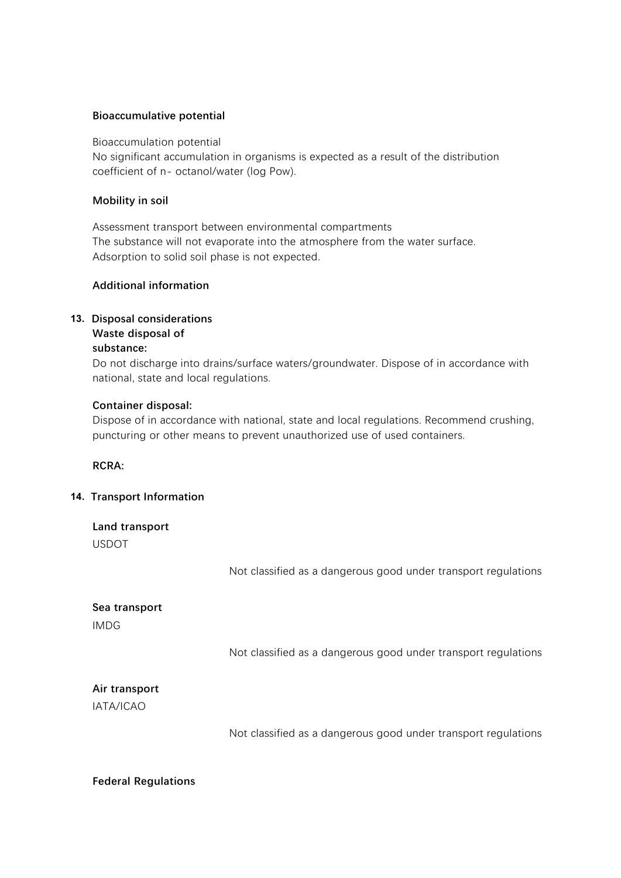### **Bioaccumulative potential**

Bioaccumulation potential No significant accumulation in organisms is expected as a result of the distribution coefficient of n- octanol/water (log Pow).

### **Mobility in soil**

Assessment transport between environmental compartments The substance will not evaporate into the atmosphere from the water surface. Adsorption to solid soil phase is not expected.

## **Additional information**

## **13. Disposal considerations**

#### Do not discharge product into the environment without control. **Waste disposal of substance:**

Do not discharge into drains/surface waters/groundwater. Dispose of in accordance with national, state and local regulations.

### **Container disposal:**

Dispose of in accordance with national, state and local regulations. Recommend crushing, puncturing or other means to prevent unauthorized use of used containers.

**RCRA:**

## **14. Transport Information**

| Land transport<br><b>USDOT</b> |                                                                |
|--------------------------------|----------------------------------------------------------------|
|                                | Not classified as a dangerous good under transport regulations |
| Sea transport<br><b>IMDG</b>   |                                                                |
|                                | Not classified as a dangerous good under transport regulations |
| Air transport<br>IATA/ICAO     |                                                                |
|                                | Not classified as a dangerous good under transport regulations |

#### **Federal Regulations**